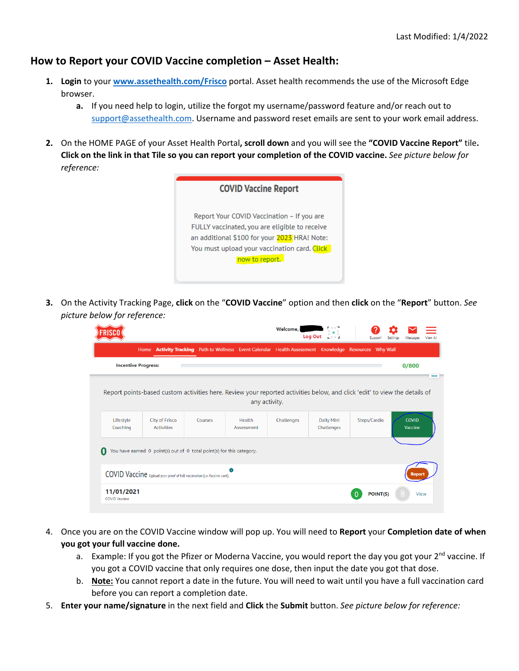## **How to Report your COVID Vaccine completion – Asset Health:**

- **1. Login** to your **[www.assethealth.com/Frisco](http://www.assethealth.com/Frisco)** portal. Asset health recommends the use of the Microsoft Edge browser.
	- **a.** If you need help to login, utilize the forgot my username/password feature and/or reach out to [support@assethealth.com.](mailto:support@assethealth.com) Username and password reset emails are sent to your work email address.
- **2.** On the HOME PAGE of your Asset Health Portal**, scroll down** and you will see the **"COVID Vaccine Report"** tile**. Click on the link in that Tile so you can report your completion of the COVID vaccine.** *See picture below for reference:*

| <b>COVID Vaccine Report</b>                                                                                                                                                                                   |
|---------------------------------------------------------------------------------------------------------------------------------------------------------------------------------------------------------------|
| Report Your COVID Vaccination – If you are<br>FULLY vaccinated, you are eligible to receive<br>an additional \$100 for your 2023 HRA! Note:<br>You must upload your vaccination card. Click<br>now to report. |

**3.** On the Activity Tracking Page, **click** on the "**COVID Vaccine**" option and then **click** on the "**Report**" button. *See picture below for reference:*

|                            |                                                                                                                                                     |         |                         | Welcome,   | <b>Log Out</b><br>$-0.01$ | Support      | Settings<br>Messages | View Al |
|----------------------------|-----------------------------------------------------------------------------------------------------------------------------------------------------|---------|-------------------------|------------|---------------------------|--------------|----------------------|---------|
|                            | Home Activity Tracking Path to Wellness Event Calendar Health Assessment Knowledge Resources Why Wall                                               |         |                         |            |                           |              |                      |         |
| <b>Incentive Progress:</b> |                                                                                                                                                     |         |                         |            |                           |              | 0/800                |         |
| Lifestyle                  | Report points-based custom activities here. Review your reported activities below, and click 'edit' to view the details of<br><b>City of Frisco</b> | Courses | any activity.<br>Health | Challenges | Daily Mini                | Steps/Cardio | <b>COVID</b>         |         |
| Coaching                   | <b>Activities</b>                                                                                                                                   |         | Assessment              |            | Challenges                |              | Vaccine              |         |
|                            |                                                                                                                                                     |         |                         |            |                           |              |                      |         |
|                            | You have earned 0 point(s) out of 0 total point(s) for this category.                                                                               |         |                         |            |                           |              |                      |         |
| 0                          | COVID Vaccine upload your proof of full vaccination (i.e. Vaccine card).                                                                            |         | A                       |            |                           |              | Report               |         |

- 4. Once you are on the COVID Vaccine window will pop up. You will need to **Report** your **Completion date of when you got your full vaccine done.**
	- a. Example: If you got the Pfizer or Moderna Vaccine, you would report the day you got your  $2^{nd}$  vaccine. If you got a COVID vaccine that only requires one dose, then input the date you got that dose.
	- b. **Note:** You cannot report a date in the future. You will need to wait until you have a full vaccination card before you can report a completion date.
- 5. **Enter your name/signature** in the next field and **Click** the **Submit** button. *See picture below for reference:*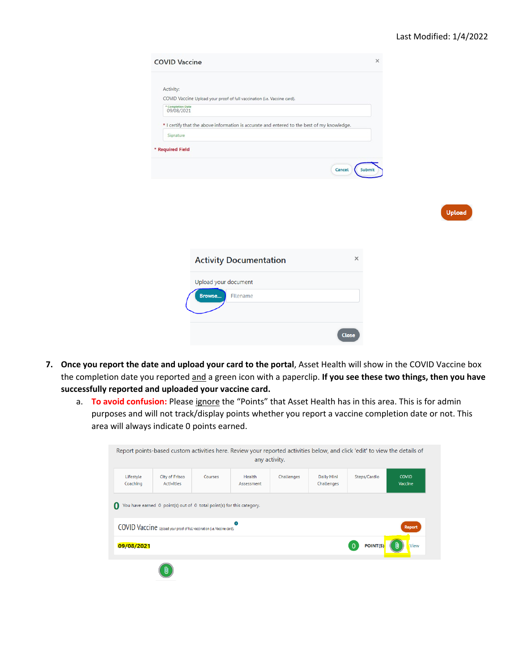| <b>COVID Vaccine</b>                                                                        | ×             |
|---------------------------------------------------------------------------------------------|---------------|
| Activity:                                                                                   |               |
| COVID Vaccine Upload your proof of full vaccination (i.e. Vaccine card).                    |               |
| * Completion Date<br>09/08/2021                                                             |               |
| * I certify that the above information is accurate and entered to the best of my knowledge. |               |
| Signature                                                                                   |               |
| * Required Field                                                                            |               |
| Cancel                                                                                      | <b>Submit</b> |
|                                                                                             |               |
|                                                                                             |               |
|                                                                                             |               |

| ш | Inloa |  |
|---|-------|--|
|   |       |  |

| <b>Activity Documentation</b>                     |              |
|---------------------------------------------------|--------------|
| Upload your document<br><b>Browse</b><br>Filename |              |
|                                                   | <b>Close</b> |

- **7. Once you report the date and upload your card to the portal**, Asset Health will show in the COVID Vaccine box the completion date you reported and a green icon with a paperclip. **If you see these two things, then you have successfully reported and uploaded your vaccine card.**
	- a. **To avoid confusion:** Please ignore the "Points" that Asset Health has in this area. This is for admin purposes and will not track/display points whether you report a vaccine completion date or not. This area will always indicate 0 points earned.

|                                                                                           |                                     |         | Report points-based custom activities here. Review your reported activities below, and click 'edit' to view the details of<br>any activity. |            |                          |              |                         |
|-------------------------------------------------------------------------------------------|-------------------------------------|---------|---------------------------------------------------------------------------------------------------------------------------------------------|------------|--------------------------|--------------|-------------------------|
|                                                                                           |                                     |         |                                                                                                                                             |            |                          |              |                         |
| Lifestyle<br>Coaching                                                                     | City of Frisco<br><b>Activities</b> | Courses | Health<br>Assessment                                                                                                                        | Challenges | Daily Mini<br>Challenges | Steps/Cardio | <b>COVID</b><br>Vaccine |
| You have earned 0 point(s) out of 0 total point(s) for this category.<br>O                |                                     |         |                                                                                                                                             |            |                          |              |                         |
| COVID Vaccine upload your proof of full vaccination (i.e. Vaccine card).<br><b>Report</b> |                                     |         |                                                                                                                                             |            |                          |              |                         |
| POINT(S)<br>View<br>09/08/2021<br>$\Omega$                                                |                                     |         |                                                                                                                                             |            |                          |              |                         |
|                                                                                           | UJ                                  |         |                                                                                                                                             |            |                          |              |                         |